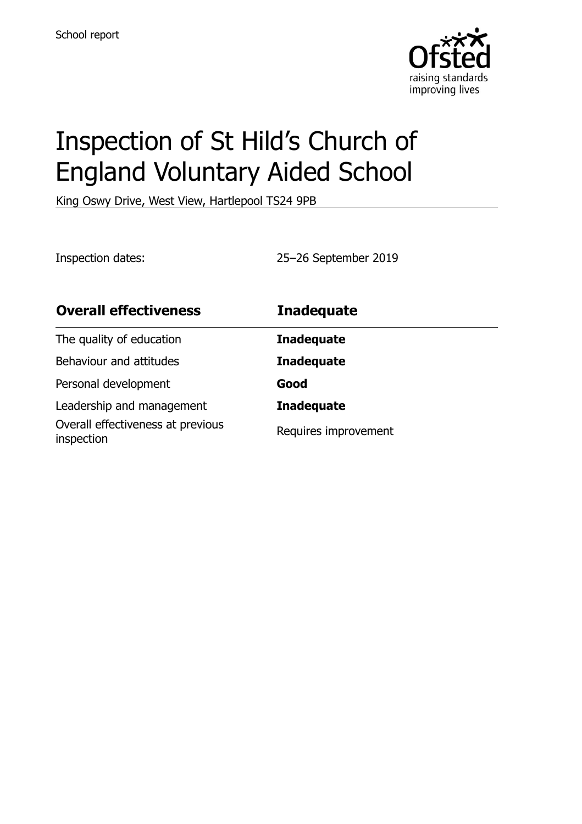

# Inspection of St Hild's Church of England Voluntary Aided School

King Oswy Drive, West View, Hartlepool TS24 9PB

Inspection dates: 25–26 September 2019

| <b>Overall effectiveness</b>                    | <b>Inadequate</b>    |
|-------------------------------------------------|----------------------|
| The quality of education                        | <b>Inadequate</b>    |
| Behaviour and attitudes                         | <b>Inadequate</b>    |
| Personal development                            | Good                 |
| Leadership and management                       | <b>Inadequate</b>    |
| Overall effectiveness at previous<br>inspection | Requires improvement |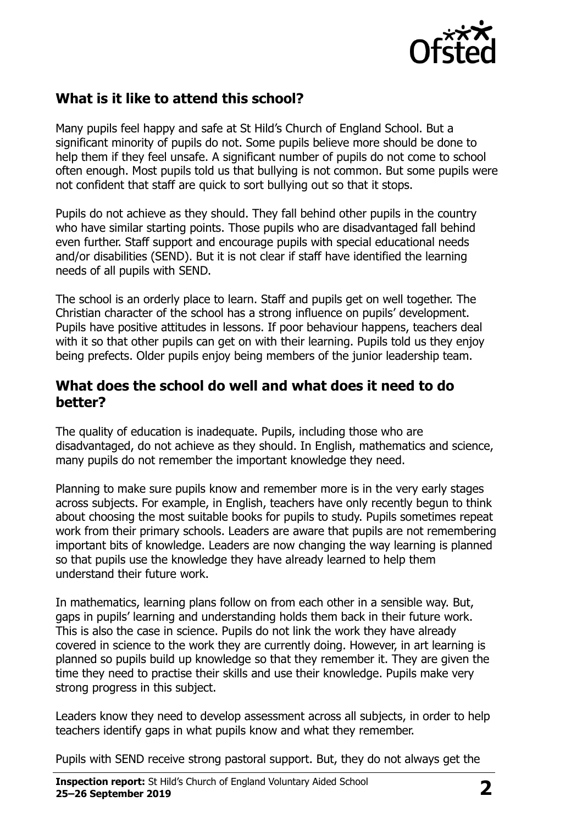

### **What is it like to attend this school?**

Many pupils feel happy and safe at St Hild's Church of England School. But a significant minority of pupils do not. Some pupils believe more should be done to help them if they feel unsafe. A significant number of pupils do not come to school often enough. Most pupils told us that bullying is not common. But some pupils were not confident that staff are quick to sort bullying out so that it stops.

Pupils do not achieve as they should. They fall behind other pupils in the country who have similar starting points. Those pupils who are disadvantaged fall behind even further. Staff support and encourage pupils with special educational needs and/or disabilities (SEND). But it is not clear if staff have identified the learning needs of all pupils with SEND.

The school is an orderly place to learn. Staff and pupils get on well together. The Christian character of the school has a strong influence on pupils' development. Pupils have positive attitudes in lessons. If poor behaviour happens, teachers deal with it so that other pupils can get on with their learning. Pupils told us they enjoy being prefects. Older pupils enjoy being members of the junior leadership team.

#### **What does the school do well and what does it need to do better?**

The quality of education is inadequate. Pupils, including those who are disadvantaged, do not achieve as they should. In English, mathematics and science, many pupils do not remember the important knowledge they need.

Planning to make sure pupils know and remember more is in the very early stages across subjects. For example, in English, teachers have only recently begun to think about choosing the most suitable books for pupils to study. Pupils sometimes repeat work from their primary schools. Leaders are aware that pupils are not remembering important bits of knowledge. Leaders are now changing the way learning is planned so that pupils use the knowledge they have already learned to help them understand their future work.

In mathematics, learning plans follow on from each other in a sensible way. But, gaps in pupils' learning and understanding holds them back in their future work. This is also the case in science. Pupils do not link the work they have already covered in science to the work they are currently doing. However, in art learning is planned so pupils build up knowledge so that they remember it. They are given the time they need to practise their skills and use their knowledge. Pupils make very strong progress in this subject.

Leaders know they need to develop assessment across all subjects, in order to help teachers identify gaps in what pupils know and what they remember.

Pupils with SEND receive strong pastoral support. But, they do not always get the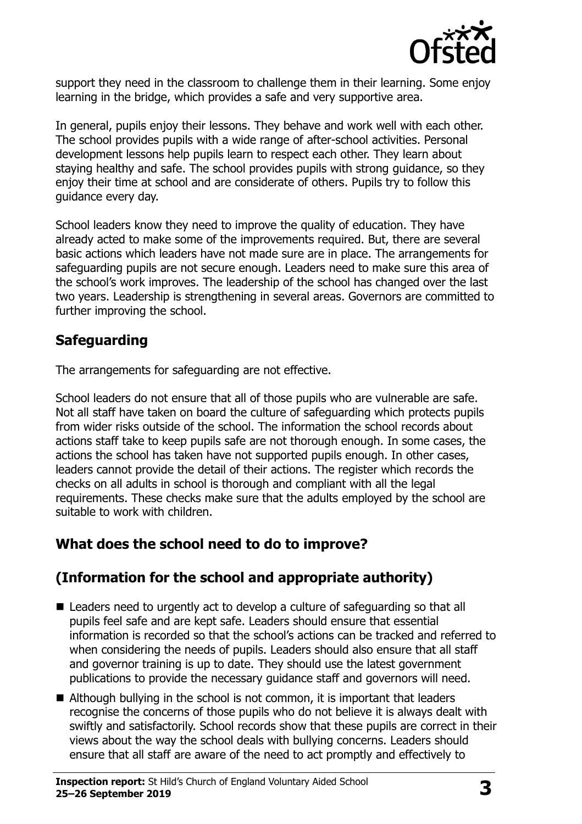

support they need in the classroom to challenge them in their learning. Some enjoy learning in the bridge, which provides a safe and very supportive area.

In general, pupils enjoy their lessons. They behave and work well with each other. The school provides pupils with a wide range of after-school activities. Personal development lessons help pupils learn to respect each other. They learn about staying healthy and safe. The school provides pupils with strong guidance, so they enjoy their time at school and are considerate of others. Pupils try to follow this guidance every day.

School leaders know they need to improve the quality of education. They have already acted to make some of the improvements required. But, there are several basic actions which leaders have not made sure are in place. The arrangements for safeguarding pupils are not secure enough. Leaders need to make sure this area of the school's work improves. The leadership of the school has changed over the last two years. Leadership is strengthening in several areas. Governors are committed to further improving the school.

### **Safeguarding**

The arrangements for safeguarding are not effective.

School leaders do not ensure that all of those pupils who are vulnerable are safe. Not all staff have taken on board the culture of safeguarding which protects pupils from wider risks outside of the school. The information the school records about actions staff take to keep pupils safe are not thorough enough. In some cases, the actions the school has taken have not supported pupils enough. In other cases, leaders cannot provide the detail of their actions. The register which records the checks on all adults in school is thorough and compliant with all the legal requirements. These checks make sure that the adults employed by the school are suitable to work with children.

# **What does the school need to do to improve?**

# **(Information for the school and appropriate authority)**

- Leaders need to urgently act to develop a culture of safeguarding so that all pupils feel safe and are kept safe. Leaders should ensure that essential information is recorded so that the school's actions can be tracked and referred to when considering the needs of pupils. Leaders should also ensure that all staff and governor training is up to date. They should use the latest government publications to provide the necessary guidance staff and governors will need.
- Although bullying in the school is not common, it is important that leaders recognise the concerns of those pupils who do not believe it is always dealt with swiftly and satisfactorily. School records show that these pupils are correct in their views about the way the school deals with bullying concerns. Leaders should ensure that all staff are aware of the need to act promptly and effectively to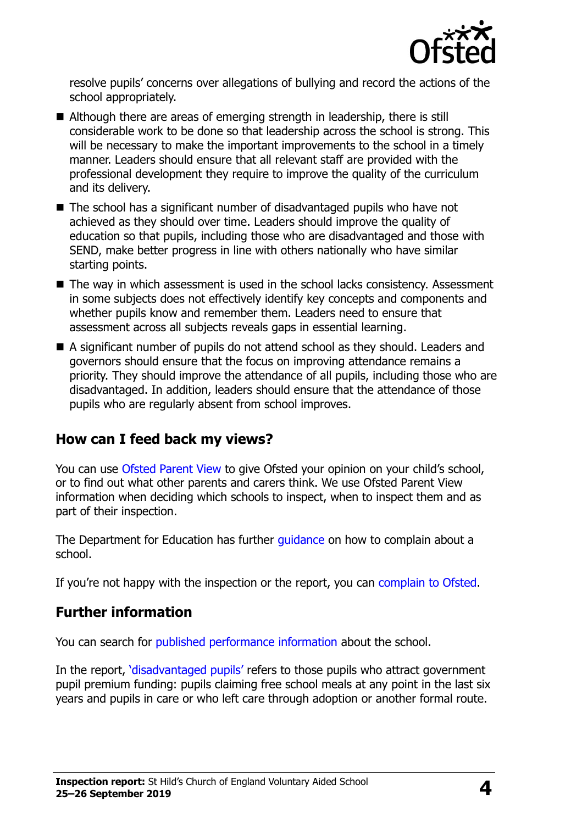

resolve pupils' concerns over allegations of bullying and record the actions of the school appropriately.

- Although there are areas of emerging strength in leadership, there is still considerable work to be done so that leadership across the school is strong. This will be necessary to make the important improvements to the school in a timely manner. Leaders should ensure that all relevant staff are provided with the professional development they require to improve the quality of the curriculum and its delivery.
- The school has a significant number of disadvantaged pupils who have not achieved as they should over time. Leaders should improve the quality of education so that pupils, including those who are disadvantaged and those with SEND, make better progress in line with others nationally who have similar starting points.
- The way in which assessment is used in the school lacks consistency. Assessment in some subjects does not effectively identify key concepts and components and whether pupils know and remember them. Leaders need to ensure that assessment across all subjects reveals gaps in essential learning.
- A significant number of pupils do not attend school as they should. Leaders and governors should ensure that the focus on improving attendance remains a priority. They should improve the attendance of all pupils, including those who are disadvantaged. In addition, leaders should ensure that the attendance of those pupils who are regularly absent from school improves.

#### **How can I feed back my views?**

You can use [Ofsted Parent View](http://parentview.ofsted.gov.uk/) to give Ofsted your opinion on your child's school, or to find out what other parents and carers think. We use Ofsted Parent View information when deciding which schools to inspect, when to inspect them and as part of their inspection.

The Department for Education has further quidance on how to complain about a school.

If you're not happy with the inspection or the report, you can [complain to Ofsted.](http://www.gov.uk/complain-ofsted-report)

#### **Further information**

You can search for [published performance information](http://www.compare-school-performance.service.gov.uk/) about the school.

In the report, '[disadvantaged pupils](http://www.gov.uk/guidance/pupil-premium-information-for-schools-and-alternative-provision-settings)' refers to those pupils who attract government pupil premium funding: pupils claiming free school meals at any point in the last six years and pupils in care or who left care through adoption or another formal route.

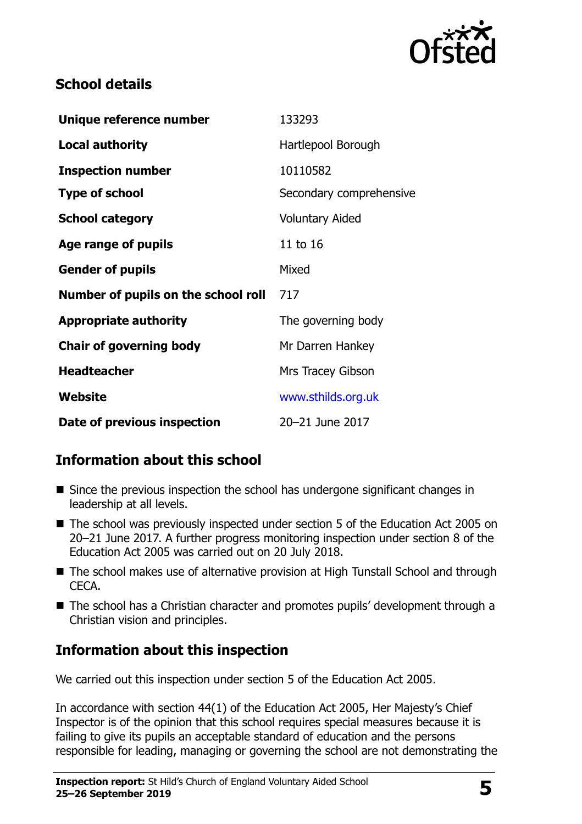

### **School details**

| Unique reference number             | 133293                  |
|-------------------------------------|-------------------------|
| <b>Local authority</b>              | Hartlepool Borough      |
| <b>Inspection number</b>            | 10110582                |
| <b>Type of school</b>               | Secondary comprehensive |
| <b>School category</b>              | <b>Voluntary Aided</b>  |
| Age range of pupils                 | 11 to 16                |
| <b>Gender of pupils</b>             | Mixed                   |
| Number of pupils on the school roll | 717                     |
| <b>Appropriate authority</b>        | The governing body      |
| <b>Chair of governing body</b>      | Mr Darren Hankey        |
| <b>Headteacher</b>                  | Mrs Tracey Gibson       |
| Website                             | www.sthilds.org.uk      |
| Date of previous inspection         | 20-21 June 2017         |

# **Information about this school**

- Since the previous inspection the school has undergone significant changes in leadership at all levels.
- The school was previously inspected under section 5 of the Education Act 2005 on 20–21 June 2017. A further progress monitoring inspection under section 8 of the Education Act 2005 was carried out on 20 July 2018.
- The school makes use of alternative provision at High Tunstall School and through CECA.
- The school has a Christian character and promotes pupils' development through a Christian vision and principles.

# **Information about this inspection**

We carried out this inspection under section 5 of the Education Act 2005.

In accordance with section 44(1) of the Education Act 2005, Her Majesty's Chief Inspector is of the opinion that this school requires special measures because it is failing to give its pupils an acceptable standard of education and the persons responsible for leading, managing or governing the school are not demonstrating the

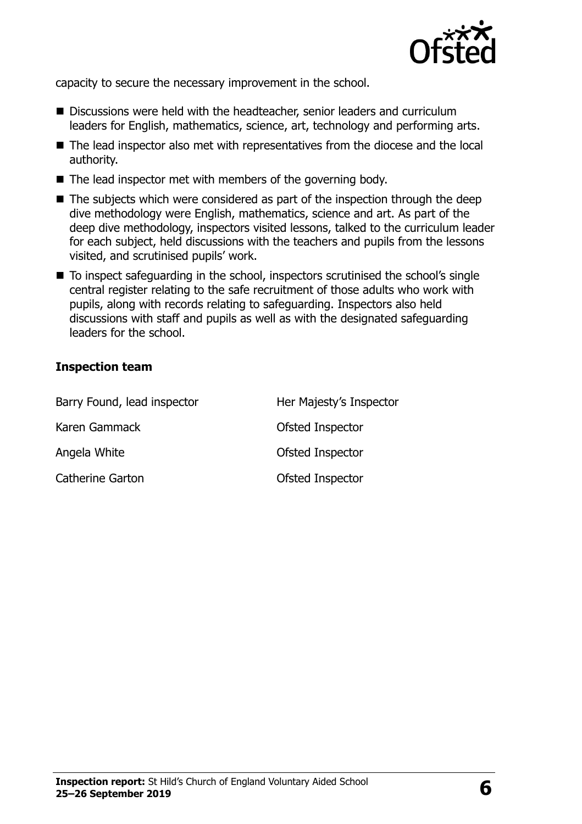

capacity to secure the necessary improvement in the school.

- Discussions were held with the headteacher, senior leaders and curriculum leaders for English, mathematics, science, art, technology and performing arts.
- The lead inspector also met with representatives from the diocese and the local authority.
- The lead inspector met with members of the governing body.
- $\blacksquare$  The subjects which were considered as part of the inspection through the deep dive methodology were English, mathematics, science and art. As part of the deep dive methodology, inspectors visited lessons, talked to the curriculum leader for each subject, held discussions with the teachers and pupils from the lessons visited, and scrutinised pupils' work.
- To inspect safequarding in the school, inspectors scrutinised the school's single central register relating to the safe recruitment of those adults who work with pupils, along with records relating to safeguarding. Inspectors also held discussions with staff and pupils as well as with the designated safeguarding leaders for the school.

#### **Inspection team**

| Barry Found, lead inspector | Her Majesty's Inspector |
|-----------------------------|-------------------------|
| Karen Gammack               | Ofsted Inspector        |
| Angela White                | Ofsted Inspector        |
| <b>Catherine Garton</b>     | Ofsted Inspector        |